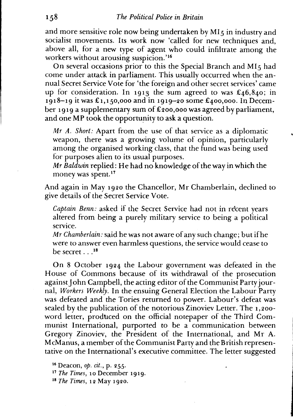and more sensitive role now being undertaken by MI5 in industry and socialist movements. Its work now 'called for new techniques and, above all, for a new type of agent who could infiltrate among the workers without arousing suspicion.'16

On several occasions prior to this the Special Branch and MI5 had come under attack in parliament. This usually occurred when the annual Secret Service Vote for 'the foreign and other secret services' came up for consideration. In 1913 the sum agreed to was  $\mathcal{L}_46,8_{40}$ ; in  $1918 - 19$  it was  $\pounds$ 1,150,000 and in 1919-20 some  $\pounds$ 400,000. In December 1919 a supplementary sum of  $\pounds$ 200,000 was agreed by parliament, and one MP took the opportunity to ask a question.

 $Mr$  A. Short: Apart from the use of that service as a diplomatic weapon, there was a growing volume of opinion, particularly among the organised working class, that the fund was being used for purposes alien to its usual purposes.

Mr Baldwin replied: He had no knowledge of the way in which the money was spent.<sup>17</sup>

And again in May 1920 the Chancellor, Mr Chamberlain, declined to give details of the Secret Service Vote.

Captain Benn: asked if the Secret Service had not in recent years altered from being a purely military service to being a political service.

Mr Chamberlain: said he was not aware of any such change; but if he were to answer even harmless questions, the service would cease to be secret... $^{18}$ 

On 8 October 1924 the Labour government was defeated in the House of Commons because of its withdrawal of the prosecution against John Campbell, the acting editor of the Communist Party journal, Workers Weekly. In the ensuing General Election the Labour Party was defeated and the Tories returned to power. Labour's defeat was sealed by the publication of the notorious Zinoviev Letter. The 1,200word letter, produced on the official notepaper of the Third Comrnunist International, purported to be a communication between Gregory Zinoviev, the President of the International, and Mr A. McManus, a member of the Communist Parry and the British representative on the International's executive committee. The letter suggested

 $17$  The Times, 10 December 1919.

 $18$  The Times, 12 May 1920.

<sup>&</sup>lt;sup>16</sup> Deacon, op. cit., p. 255.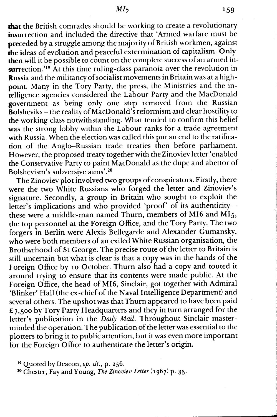that the British comrades should be working to create a revolutionary insurrection and included the directive that 'Armed warfare must be preceded by a struggle among the majority of British workmen, against the ideas of evolution and peaceful extermination of capitalism. Only then will it be possible to count on the complete success of an armed insurrection.<sup>'19</sup> At this time ruling-class paranoia over the revolution in Russia and the militancy of socialist movements in Britain was at a highpoint. Many in the Tory Party, the press, the Ministries and the inielligence agencies considered the Labour Parry.and the MacDonald government as being only one step removed from the Russian Bolsheviks - the reality of MacDonald's reformism and clear hostility to the working class notwithstanding. What tended to confirm this belief was the strong lobby within the Labour ranks for a trade agreement with Russia. When the election was called this put an end to the ratification of the Anglo-Russian trade treaties then before parliament. However, the proposed treaty together with the Zinoviev letter 'enabled the Conservative Party to paint MacDonald as the dupe and abettor of Bolshevism's subversive aims'.20

The Zinoviev plot involved two groups of conspirators. Firstly, there were the two White Russians who forged the letter and Zinoviev's signature. Secondly, a group in Britain who sought to exploit the letter's implications and who provided 'proof' of its authenticity these were a middle-man named Thurn, members of MI6 and MI5, the top personnel at the Foreign Office, and the Tory Party. The two forgers in Berlin were Alexis Bellegarde and Alexander Gumansky, who were both members of an exiled White Russian organisation, the Brotherhood of St George. The precise route of the letter to Britain is still uncertain but what is clear is that a copy was in the hands of the Foreign Office by 10 October. Thurn also had a copy and touted it around trying to ensure that its contents were made public. At the Foreign Office, the head of MI6, Sinclair, got together with Admiral 'Blinker' Hall (the ex-chief of the Naval Intelligence Department) and several others. The upshot was that Thurn appeared to have been paid £7,500 by Tory Party Headquarters and they in turn arranged for the letter's publication in the Daily Mail. Throughout Sinclair masterminded the operation. The publication of the letter was essential to the plotters to bring it to public attention, but it was even more important for the Foreign Office to authenticate the letter's origin.

I

<sup>&</sup>lt;sup>19</sup> Quoted by Deacon,  $op.$   $dit.$ , p. 256.

<sup>&</sup>lt;sup>20</sup> Chester, Fay and Young, The Zinoviev Letter (1967) p. 33.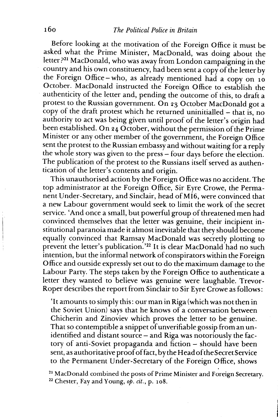.Before looking ar rhe morivarion of the Foreign office it must be asked what the Prime Minister, MacDonald, was doing about the letter?<sup>21</sup> MacDonald, who was away from London campaigning in the country and his own constituency, had been sent a copy of the letter by the Foreign Office-who, as already mentioned had a copy on 10 October. MacDonald instructed the Foreign Office to establish the authenticity of the letter and, pending the outcome of this, to draft a protest to the Russian government. On 23 October MacDonald got a copy of the draft protest which he returned uninitialled - that is, no authority to act was being given until proof of the letter's origin had been established. On 24 October, without the permission of the Prime Minister or any other member of the government, the Foreign Office sent the protest to the Russian embassy and without waiting for a reply the whole story was given to the press - four days before the election. The publication of the protest to the Russians itself served as authentication of the letter's conrents and origin.

This unauthorised action by the Foreign Officewas no accident. The top administrator at the Foreign Office, Sir Eyre Crowe, the Permanent Under-Secretary, and Sinclair, head of MI6, were convinced that a new Labour government would seek to limit the work of the secret service. 'And once a small, but powerful group of threatened men had convinced themselves that the letter was genuine, their incipient institutional paranoia made it almost inevitable that they should become equally convinced that Ramsay MacDonald was secretly plotting to prevent the letter's publication.<sup>'22</sup> It is clear MacDonald had no such intention, but the informal network of conspirarors within the Foreign Office and outside expressly set out to do the maximum damage to the Labour Party. The steps taken by the Foreign Office to authenticate a letter they wanted to believe was genuine were laughable. Trevor-Roper describes the report from Sinclair to Sir Eyre Crowe as follows:

'It amounts to simply this: our man in Riga (which was nor then in the Soviet Union) says that he knows of a conversation berween Chicherin and Zinoviev which proves the letter to be genuine. That so contemptible a snippet of unverifiable gossip from an unidentified and distant source - and Riga was notoriously the factory of anti-Soviet propaganda and fiction - should have been sent, as authoritative proof of fact, by the Head of the Secret Service to the Permanent Under-Secretary of the Foreign Office, shows

<sup>21</sup> MacDonald combined the posts of Prime Minister and Foreign Secretary. <sup>22</sup> Chester, Fay and Young,  $o\dot{p}$ .  $\dot{c}it$ ., p. 108.